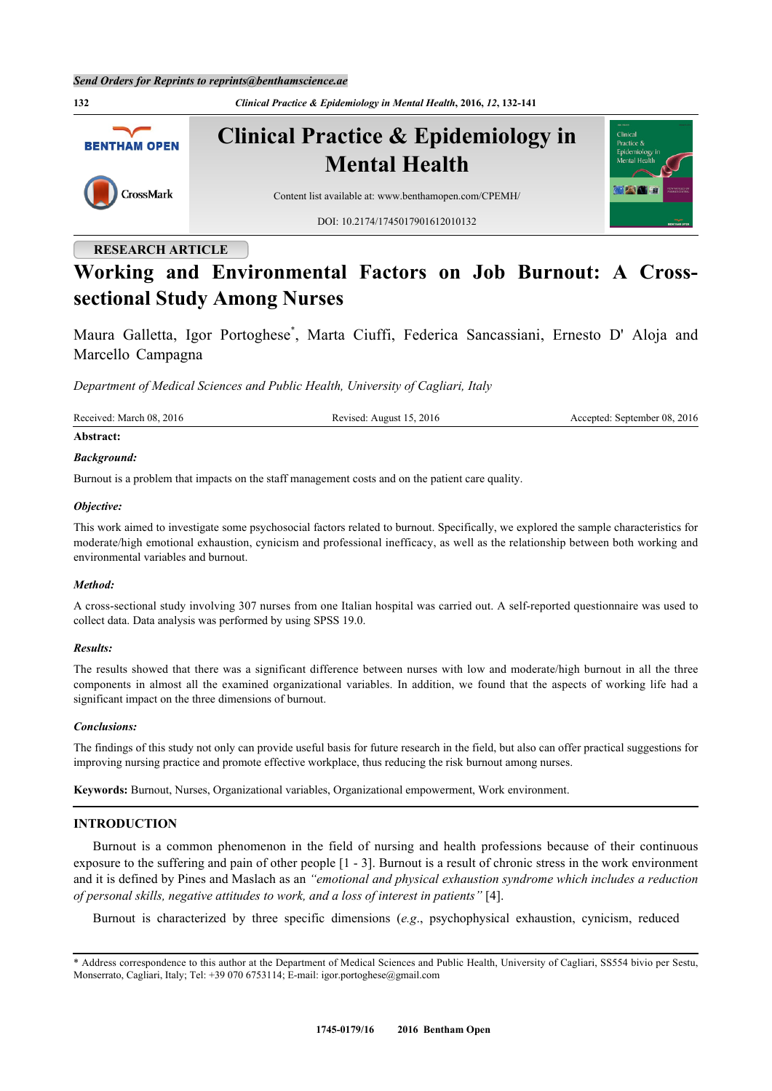**132** *Clinical Practice & Epidemiology in Mental Health***, 2016,** *12***, 132-141 Clinical Practice & Epidemiology in BENTHAM OPEN Mental Health** CrossMark Content list available at: [www.benthamopen.com/CPEMH/](http://www.benthamopen.com/CPEMH/) DOI: [10.2174/1745017901612010132](http://dx.doi.org/10.2174/1745017901612010132)

## **RESEARCH ARTICLE**

# **Working and Environmental Factors on Job Burnout: A Crosssectional Study Among Nurses**

Maura Galletta, Igor Portoghese[\\*](#page-0-0) , Marta Ciuffi, Federica Sancassiani, Ernesto D' Aloja and Marcello Campagna

*Department of Medical Sciences and Public Health, University of Cagliari, Italy*

Received: March 08, 2016 Revised: August 15, 2016 Accepted: September 08, 2016

#### **Abstract:**

#### *Background:*

Burnout is a problem that impacts on the staff management costs and on the patient care quality.

#### *Objective:*

This work aimed to investigate some psychosocial factors related to burnout. Specifically, we explored the sample characteristics for moderate/high emotional exhaustion, cynicism and professional inefficacy, as well as the relationship between both working and environmental variables and burnout.

#### *Method:*

A cross-sectional study involving 307 nurses from one Italian hospital was carried out. A self-reported questionnaire was used to collect data. Data analysis was performed by using SPSS 19.0.

#### *Results:*

The results showed that there was a significant difference between nurses with low and moderate/high burnout in all the three components in almost all the examined organizational variables. In addition, we found that the aspects of working life had a significant impact on the three dimensions of burnout.

#### *Conclusions:*

The findings of this study not only can provide useful basis for future research in the field, but also can offer practical suggestions for improving nursing practice and promote effective workplace, thus reducing the risk burnout among nurses.

**Keywords:** Burnout, Nurses, Organizational variables, Organizational empowerment, Work environment.

### **INTRODUCTION**

Burnout is a common phenomenon in the field of nursing and health professions because of their continuous exposure to the suffering and pain of other people [[1](#page-7-0) - [3\]](#page-8-0). Burnout is a result of chronic stress in the work environment and it is defined by Pines and Maslach as an *"emotional and physical exhaustion syndrome which includes a reduction of personal skills, negative attitudes to work, and a loss of interest in patients"* [[4\]](#page-8-1).

Burnout is characterized by three specific dimensions (*e.g*., psychophysical exhaustion, cynicism, reduced

<span id="page-0-0"></span><sup>\*</sup> Address correspondence to this author at the Department of Medical Sciences and Public Health, University of Cagliari, SS554 bivio per Sestu, Monserrato, Cagliari, Italy; Tel: +39 070 6753114; E-mail: [igor.portoghese@gmail.com](mailto:igor.portoghese@gmail.com)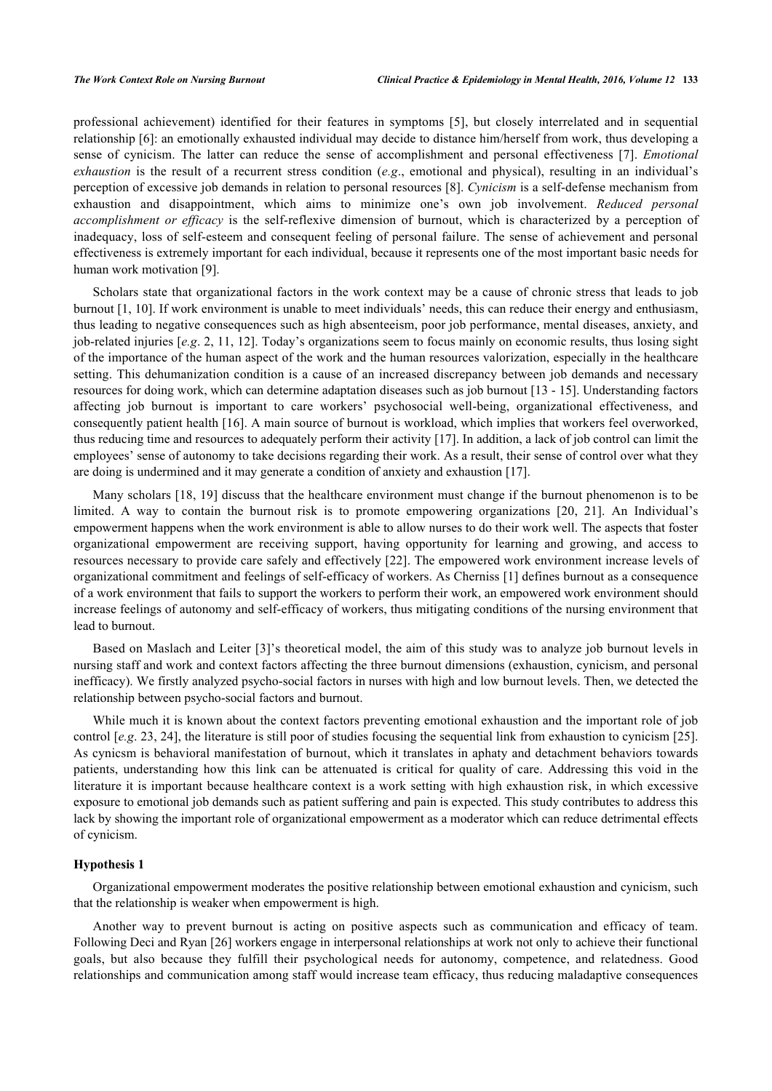professional achievement) identified for their features in symptoms[[5](#page-8-2)], but closely interrelated and in sequential relationship [[6\]](#page-8-3): an emotionally exhausted individual may decide to distance him/herself from work, thus developing a sense of cynicism. The latter can reduce the sense of accomplishment and personal effectiveness[[7\]](#page-8-4). *Emotional exhaustion* is the result of a recurrent stress condition (*e.g*., emotional and physical), resulting in an individual's perception of excessive job demands in relation to personal resources [[8\]](#page-8-5). *Cynicism* is a self-defense mechanism from exhaustion and disappointment, which aims to minimize one's own job involvement. *Reduced personal accomplishment or efficacy* is the self-reflexive dimension of burnout, which is characterized by a perception of inadequacy, loss of self-esteem and consequent feeling of personal failure. The sense of achievement and personal effectiveness is extremely important for each individual, because it represents one of the most important basic needs for human work motivation [[9\]](#page-8-6).

Scholars state that organizational factors in the work context may be a cause of chronic stress that leads to job burnout [[1](#page-7-0), [10](#page-8-7)]. If work environment is unable to meet individuals' needs, this can reduce their energy and enthusiasm, thus leading to negative consequences such as high absenteeism, poor job performance, mental diseases, anxiety, and job-related injuries [*e.g*. [2](#page-7-1), [11,](#page-8-8) [12](#page-8-9)]. Today's organizations seem to focus mainly on economic results, thus losing sight of the importance of the human aspect of the work and the human resources valorization, especially in the healthcare setting. This dehumanization condition is a cause of an increased discrepancy between job demands and necessary resources for doing work, which can determine adaptation diseases such as job burnout [[13](#page-8-10) - [15](#page-8-11)]. Understanding factors affecting job burnout is important to care workers' psychosocial well-being, organizational effectiveness, and consequently patient health [[16\]](#page-8-12). A main source of burnout is workload, which implies that workers feel overworked, thus reducing time and resources to adequately perform their activity [\[17](#page-8-13)]. In addition, a lack of job control can limit the employees' sense of autonomy to take decisions regarding their work. As a result, their sense of control over what they are doing is undermined and it may generate a condition of anxiety and exhaustion [\[17](#page-8-13)].

Many scholars [[18,](#page-8-14) [19\]](#page-8-15) discuss that the healthcare environment must change if the burnout phenomenon is to be limited. A way to contain the burnout risk is to promote empowering organizations[[20](#page-8-16), [21\]](#page-8-17). An Individual's empowerment happens when the work environment is able to allow nurses to do their work well. The aspects that foster organizational empowerment are receiving support, having opportunity for learning and growing, and access to resources necessary to provide care safely and effectively [[22\]](#page-8-18). The empowered work environment increase levels of organizational commitment and feelings of self-efficacy of workers. As Cherniss [[1\]](#page-7-0) defines burnout as a consequence of a work environment that fails to support the workers to perform their work, an empowered work environment should increase feelings of autonomy and self-efficacy of workers, thus mitigating conditions of the nursing environment that lead to burnout.

Based on Maslach and Leiter [\[3](#page-8-0)]'s theoretical model, the aim of this study was to analyze job burnout levels in nursing staff and work and context factors affecting the three burnout dimensions (exhaustion, cynicism, and personal inefficacy). We firstly analyzed psycho-social factors in nurses with high and low burnout levels. Then, we detected the relationship between psycho-social factors and burnout.

While much it is known about the context factors preventing emotional exhaustion and the important role of job control [*e.g*. [23,](#page-8-19) [24\]](#page-8-20), the literature is still poor of studies focusing the sequential link from exhaustion to cynicism [[25\]](#page-8-21). As cynicsm is behavioral manifestation of burnout, which it translates in aphaty and detachment behaviors towards patients, understanding how this link can be attenuated is critical for quality of care. Addressing this void in the literature it is important because healthcare context is a work setting with high exhaustion risk, in which excessive exposure to emotional job demands such as patient suffering and pain is expected. This study contributes to address this lack by showing the important role of organizational empowerment as a moderator which can reduce detrimental effects of cynicism.

#### **Hypothesis 1**

Organizational empowerment moderates the positive relationship between emotional exhaustion and cynicism, such that the relationship is weaker when empowerment is high.

Another way to prevent burnout is acting on positive aspects such as communication and efficacy of team. Following Deci and Ryan [[26\]](#page-8-22) workers engage in interpersonal relationships at work not only to achieve their functional goals, but also because they fulfill their psychological needs for autonomy, competence, and relatedness. Good relationships and communication among staff would increase team efficacy, thus reducing maladaptive consequences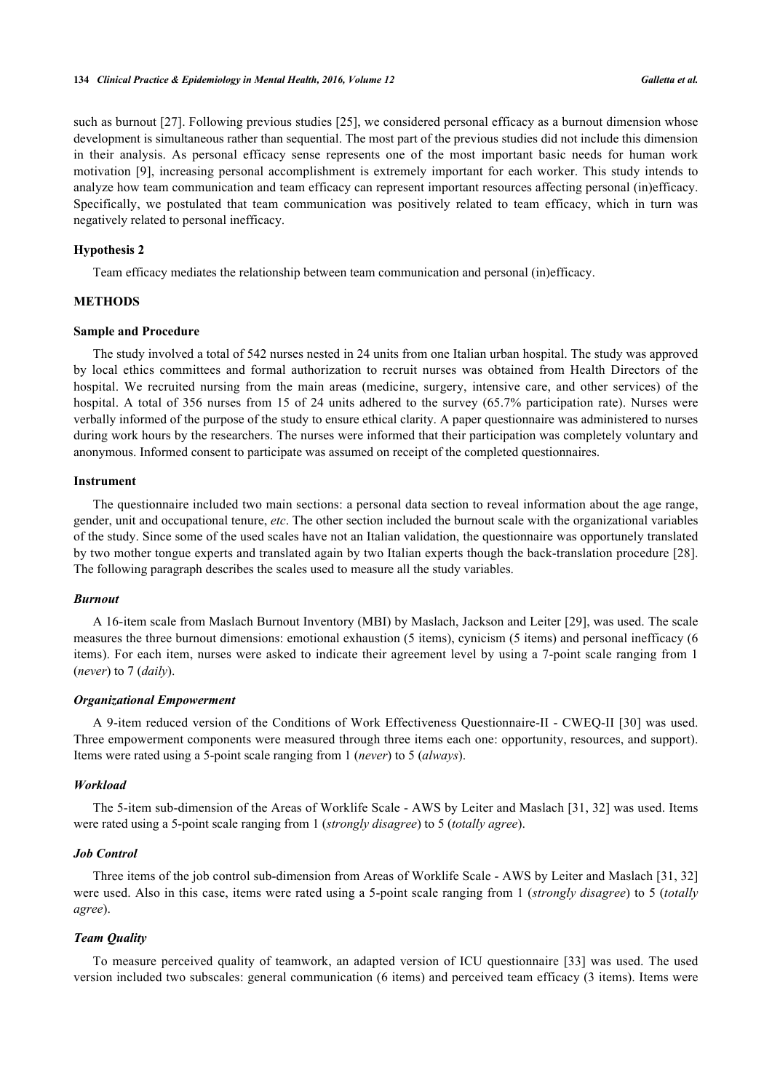such as burnout [[27](#page-8-23)]. Following previous studies [\[25](#page-8-21)], we considered personal efficacy as a burnout dimension whose development is simultaneous rather than sequential. The most part of the previous studies did not include this dimension in their analysis. As personal efficacy sense represents one of the most important basic needs for human work motivation [\[9](#page-8-6)], increasing personal accomplishment is extremely important for each worker. This study intends to analyze how team communication and team efficacy can represent important resources affecting personal (in)efficacy. Specifically, we postulated that team communication was positively related to team efficacy, which in turn was negatively related to personal inefficacy.

#### **Hypothesis 2**

Team efficacy mediates the relationship between team communication and personal (in)efficacy.

#### **METHODS**

#### **Sample and Procedure**

The study involved a total of 542 nurses nested in 24 units from one Italian urban hospital. The study was approved by local ethics committees and formal authorization to recruit nurses was obtained from Health Directors of the hospital. We recruited nursing from the main areas (medicine, surgery, intensive care, and other services) of the hospital. A total of 356 nurses from 15 of 24 units adhered to the survey (65.7% participation rate). Nurses were verbally informed of the purpose of the study to ensure ethical clarity. A paper questionnaire was administered to nurses during work hours by the researchers. The nurses were informed that their participation was completely voluntary and anonymous. Informed consent to participate was assumed on receipt of the completed questionnaires.

#### **Instrument**

The questionnaire included two main sections: a personal data section to reveal information about the age range, gender, unit and occupational tenure, *etc*. The other section included the burnout scale with the organizational variables of the study. Since some of the used scales have not an Italian validation, the questionnaire was opportunely translated by two mother tongue experts and translated again by two Italian experts though the back-translation procedure [\[28\]](#page-8-24). The following paragraph describes the scales used to measure all the study variables.

#### *Burnout*

A 16-item scale from Maslach Burnout Inventory (MBI) by Maslach, Jackson and Leiter [[29](#page-9-0)], was used. The scale measures the three burnout dimensions: emotional exhaustion (5 items), cynicism (5 items) and personal inefficacy (6 items). For each item, nurses were asked to indicate their agreement level by using a 7-point scale ranging from 1 (*never*) to 7 (*daily*).

#### *Organizational Empowerment*

A 9-item reduced version of the Conditions of Work Effectiveness Questionnaire-II - CWEQ-II [[30](#page-9-1)] was used. Three empowerment components were measured through three items each one: opportunity, resources, and support). Items were rated using a 5-point scale ranging from 1 (*never*) to 5 (*always*).

#### *Workload*

The 5-item sub-dimension of the Areas of Worklife Scale - AWS by Leiter and Maslach [\[31,](#page-9-2) [32](#page-9-3)] was used. Items were rated using a 5-point scale ranging from 1 (*strongly disagree*) to 5 (*totally agree*).

#### *Job Control*

Three items of the job control sub-dimension from Areas of Worklife Scale - AWS by Leiter and Maslach [[31,](#page-9-2) [32](#page-9-3)] were used. Also in this case, items were rated using a 5-point scale ranging from 1 (*strongly disagree*) to 5 (*totally agree*).

#### *Team Quality*

To measure perceived quality of teamwork, an adapted version of ICU questionnaire [\[33\]](#page-9-4) was used. The used version included two subscales: general communication (6 items) and perceived team efficacy (3 items). Items were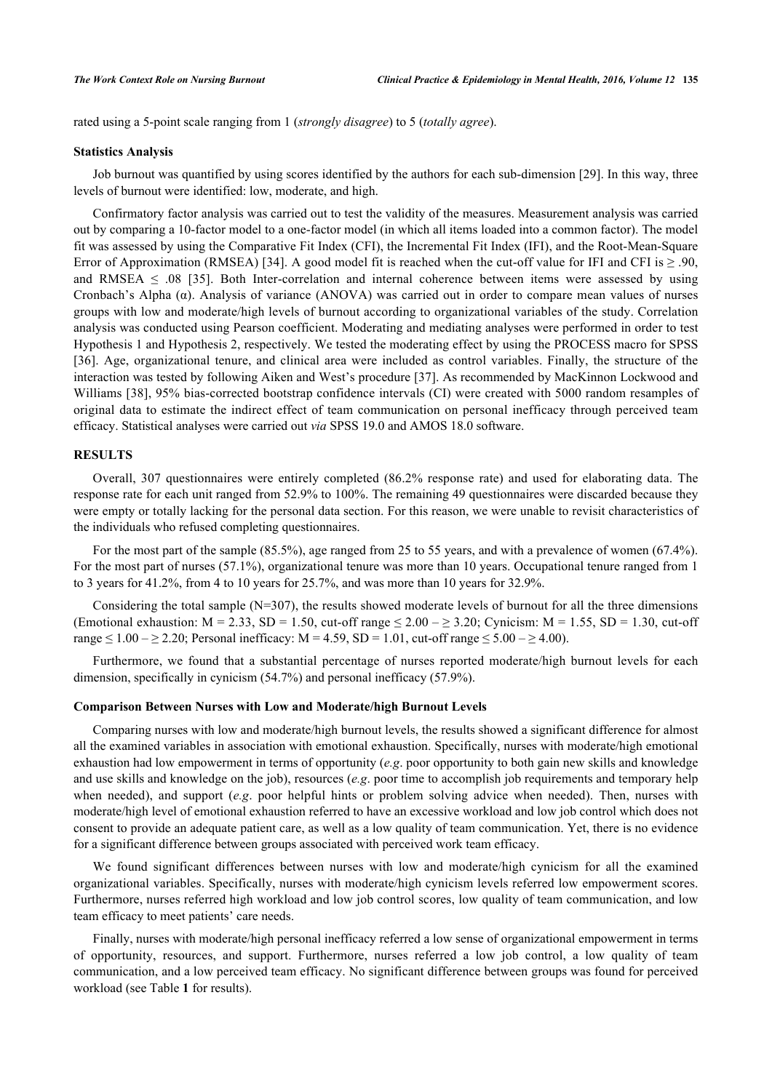rated using a 5-point scale ranging from 1 (*strongly disagree*) to 5 (*totally agree*).

#### **Statistics Analysis**

Job burnout was quantified by using scores identified by the authors for each sub-dimension [[29](#page-9-0)]. In this way, three levels of burnout were identified: low, moderate, and high.

Confirmatory factor analysis was carried out to test the validity of the measures. Measurement analysis was carried out by comparing a 10-factor model to a one-factor model (in which all items loaded into a common factor). The model fit was assessed by using the Comparative Fit Index (CFI), the Incremental Fit Index (IFI), and the Root-Mean-Square Error of Approximation (RMSEA) [[34\]](#page-9-5). A good model fit is reached when the cut-off value for IFI and CFI is  $\geq 0.9$ , andRMSEA  $\leq$  0.08 [[35\]](#page-9-6). Both Inter-correlation and internal coherence between items were assessed by using Cronbach's Alpha  $(\alpha)$ . Analysis of variance (ANOVA) was carried out in order to compare mean values of nurses groups with low and moderate/high levels of burnout according to organizational variables of the study. Correlation analysis was conducted using Pearson coefficient. Moderating and mediating analyses were performed in order to test Hypothesis 1 and Hypothesis 2, respectively. We tested the moderating effect by using the PROCESS macro for SPSS [\[36](#page-9-7)]. Age, organizational tenure, and clinical area were included as control variables. Finally, the structure of the interaction was tested by following Aiken and West's procedure [[37\]](#page-9-8). As recommended by MacKinnon Lockwood and Williams [[38\]](#page-9-9), 95% bias-corrected bootstrap confidence intervals (CI) were created with 5000 random resamples of original data to estimate the indirect effect of team communication on personal inefficacy through perceived team efficacy. Statistical analyses were carried out *via* SPSS 19.0 and AMOS 18.0 software.

### **RESULTS**

Overall, 307 questionnaires were entirely completed (86.2% response rate) and used for elaborating data. The response rate for each unit ranged from 52.9% to 100%. The remaining 49 questionnaires were discarded because they were empty or totally lacking for the personal data section. For this reason, we were unable to revisit characteristics of the individuals who refused completing questionnaires.

For the most part of the sample (85.5%), age ranged from 25 to 55 years, and with a prevalence of women (67.4%). For the most part of nurses (57.1%), organizational tenure was more than 10 years. Occupational tenure ranged from 1 to 3 years for 41.2%, from 4 to 10 years for 25.7%, and was more than 10 years for 32.9%.

Considering the total sample  $(N=307)$ , the results showed moderate levels of burnout for all the three dimensions (Emotional exhaustion:  $M = 2.33$ ,  $SD = 1.50$ , cut-off range  $\leq 2.00 - \geq 3.20$ ; Cynicism:  $M = 1.55$ ,  $SD = 1.30$ , cut-off range  $\leq 1.00 - \geq 2.20$ ; Personal inefficacy: M = 4.59, SD = 1.01, cut-off range  $\leq 5.00 - \geq 4.00$ ).

Furthermore, we found that a substantial percentage of nurses reported moderate/high burnout levels for each dimension, specifically in cynicism (54.7%) and personal inefficacy (57.9%).

#### **Comparison Between Nurses with Low and Moderate/high Burnout Levels**

Comparing nurses with low and moderate/high burnout levels, the results showed a significant difference for almost all the examined variables in association with emotional exhaustion. Specifically, nurses with moderate/high emotional exhaustion had low empowerment in terms of opportunity (*e.g*. poor opportunity to both gain new skills and knowledge and use skills and knowledge on the job), resources (*e.g*. poor time to accomplish job requirements and temporary help when needed), and support (*e.g*. poor helpful hints or problem solving advice when needed). Then, nurses with moderate/high level of emotional exhaustion referred to have an excessive workload and low job control which does not consent to provide an adequate patient care, as well as a low quality of team communication. Yet, there is no evidence for a significant difference between groups associated with perceived work team efficacy.

We found significant differences between nurses with low and moderate/high cynicism for all the examined organizational variables. Specifically, nurses with moderate/high cynicism levels referred low empowerment scores. Furthermore, nurses referred high workload and low job control scores, low quality of team communication, and low team efficacy to meet patients' care needs.

Finally, nurses with moderate/high personal inefficacy referred a low sense of organizational empowerment in terms of opportunity, resources, and support. Furthermore, nurses referred a low job control, a low quality of team communication, and a low perceived team efficacy. No significant difference between groups was found for perceived workload (see Table **[1](#page-4-0)** for results).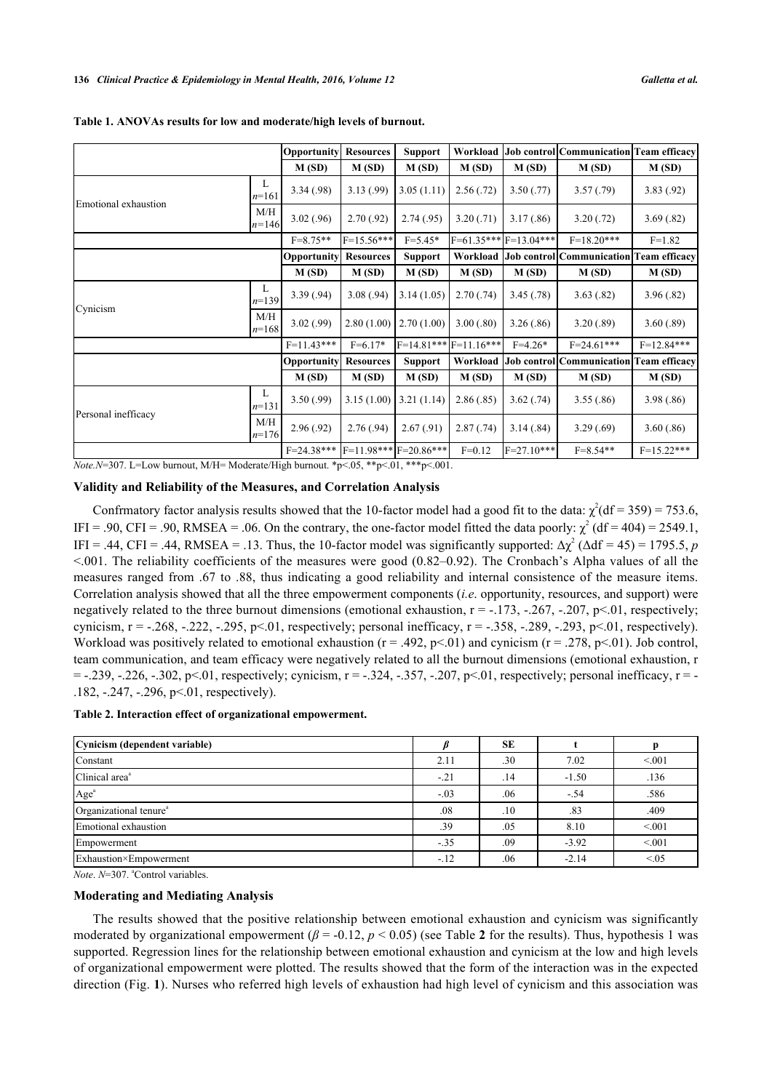|                      |                  | Opportunity        | <b>Resources</b> | <b>Support</b>            | Workload                  |                | <b>Job control Communication Team efficacy</b>   |              |
|----------------------|------------------|--------------------|------------------|---------------------------|---------------------------|----------------|--------------------------------------------------|--------------|
|                      |                  | M(SD)              | M(SD)            | M(SD)                     | M(SD)                     | M(SD)          | M(SD)                                            | M(SD)        |
| Emotional exhaustion | L<br>$n=161$     | 3.34(.98)          | 3.13(0.99)       | 3.05(1.11)                | 2.56(.72)                 | 3.50(.77)      | 3.57(.79)                                        | 3.83(.92)    |
|                      | M/H<br>$n = 146$ | 3.02(.96)          | 2.70(.92)        | 2.74(.95)                 | 3.20(.71)                 | 3.17(.86)      | 3.20(.72)                                        | 3.69(.82)    |
|                      |                  | $F=8.75**$         | $F=15.56***$     | $F = 5.45*$               | $F=61.35***$ $F=13.04***$ |                | $F=18.20***$                                     | $F=1.82$     |
|                      |                  | <b>Opportunity</b> | <b>Resources</b> | <b>Support</b>            |                           |                | Workload Job control Communication Team efficacy |              |
|                      |                  | M(SD)              | M(SD)            | M(SD)                     | M(SD)                     | M(SD)          | M(SD)                                            | M(SD)        |
| Cynicism             | L<br>$n=139$     | 3.39(.94)          | 3.08(.94)        | 3.14(1.05)                | 2.70(.74)                 | 3.45(.78)      | 3.63(.82)                                        | 3.96(.82)    |
|                      | M/H<br>$n=168$   | 3.02(.99)          | 2.80(1.00)       | 2.70(1.00)                | 3.00(.80)                 | 3.26(.86)      | 3.20(.89)                                        | 3.60(.89)    |
|                      |                  | $F=11.43***$       | $F=6.17*$        |                           | $F=14.81***$ $F=11.16***$ | $F=4.26*$      | $F = 24.61***$                                   | $F=12.84***$ |
|                      |                  | Opportunity        | <b>Resources</b> | <b>Support</b>            |                           |                | Workload Job control Communication Team efficacy |              |
|                      |                  | M(SD)              | M(SD)            | M(SD)                     | M(SD)                     | M(SD)          | M(SD)                                            | M(SD)        |
| Personal inefficacy  | L<br>$n=131$     | 3.50(.99)          | 3.15(1.00)       | 3.21(1.14)                | 2.86(.85)                 | 3.62(.74)      | 3.55(.86)                                        | 3.98(.86)    |
|                      | M/H<br>$n=176$   | 2.96(.92)          | 2.76(.94)        | 2.67(.91)                 | 2.87(.74)                 | 3.14(.84)      | 3.29(.69)                                        | 3.60(.86)    |
|                      |                  | $F = 24.38***$     |                  | $F=11.98***$ $F=20.86***$ | $F=0.12$                  | $F = 27.10***$ | $F=8.54**$                                       | $F=15.22***$ |

<span id="page-4-0"></span>**Table 1. ANOVAs results for low and moderate/high levels of burnout.**

*Note.N*=307. L=Low burnout, M/H= Moderate/High burnout. \*p<.05, \*\*p<.01, \*\*\*p<.001.

**Validity and Reliability of the Measures, and Correlation Analysis**

Confrmatory factor analysis results showed that the 10-factor model had a good fit to the data:  $\chi^2$ (df = 359) = 753.6, IFI = .90, CFI = .90, RMSEA = .06. On the contrary, the one-factor model fitted the data poorly:  $\chi^2$  (df = 404) = 2549.1, IFI = .44, CFI = .44, RMSEA = .13. Thus, the 10-factor model was significantly supported:  $\Delta \chi^2$  ( $\Delta df = 45$ ) = 1795.5, *p*  $< 0.001$ . The reliability coefficients of the measures were good  $(0.82-0.92)$ . The Cronbach's Alpha values of all the measures ranged from .67 to .88, thus indicating a good reliability and internal consistence of the measure items. Correlation analysis showed that all the three empowerment components (*i.e*. opportunity, resources, and support) were negatively related to the three burnout dimensions (emotional exhaustion,  $r = -.173, -.267, -.207, p < 01$ , respectively; cynicism,  $r = -.268, -.222, -.295, p < 01$ , respectively; personal inefficacy,  $r = -.358, -.289, -.293, p < 01$ , respectively). Workload was positively related to emotional exhaustion ( $r = .492$ ,  $p < .01$ ) and cynicism ( $r = .278$ ,  $p < .01$ ). Job control, team communication, and team efficacy were negatively related to all the burnout dimensions (emotional exhaustion, r  $=$  -.239, -.226, -.302, p<.01, respectively; cynicism, r = -.324, -.357, -.207, p<.01, respectively; personal inefficacy, r = -.182, -.247, -.296, p<.01, respectively).

<span id="page-4-1"></span>**Table 2. Interaction effect of organizational empowerment.**

| Cynicism (dependent variable)      |        | SЕ  |         |        |
|------------------------------------|--------|-----|---------|--------|
| Constant                           | 2.11   | .30 | 7.02    | < 0.01 |
| Clinical area <sup>ª</sup>         | $-.21$ | .14 | $-1.50$ | .136   |
| Age <sup>a</sup>                   | $-.03$ | .06 | $-.54$  | .586   |
| Organizational tenure <sup>a</sup> | .08    | .10 | .83     | .409   |
| Emotional exhaustion               | .39    | .05 | 8.10    | < 0.01 |
| Empowerment                        | $-.35$ | .09 | $-3.92$ | < 0.01 |
| Exhaustion×Empowerment             | $-12$  | .06 | $-2.14$ | < 0.05 |

*Note. N*=307. <sup>a</sup>Control variables.

#### **Moderating and Mediating Analysis**

The results showed that the positive relationship between emotional exhaustion and cynicism was significantly moderated by organizational empowerment  $(\beta = -0.12, p < 0.05)$  $(\beta = -0.12, p < 0.05)$  $(\beta = -0.12, p < 0.05)$  (see Table 2 for the results). Thus, hypothesis 1 was supported. Regression lines for the relationship between emotional exhaustion and cynicism at the low and high levels of organizational empowerment were plotted. The results showed that the form of the interaction was in the expected direction (Fig. **[1](#page-5-0)**). Nurses who referred high levels of exhaustion had high level of cynicism and this association was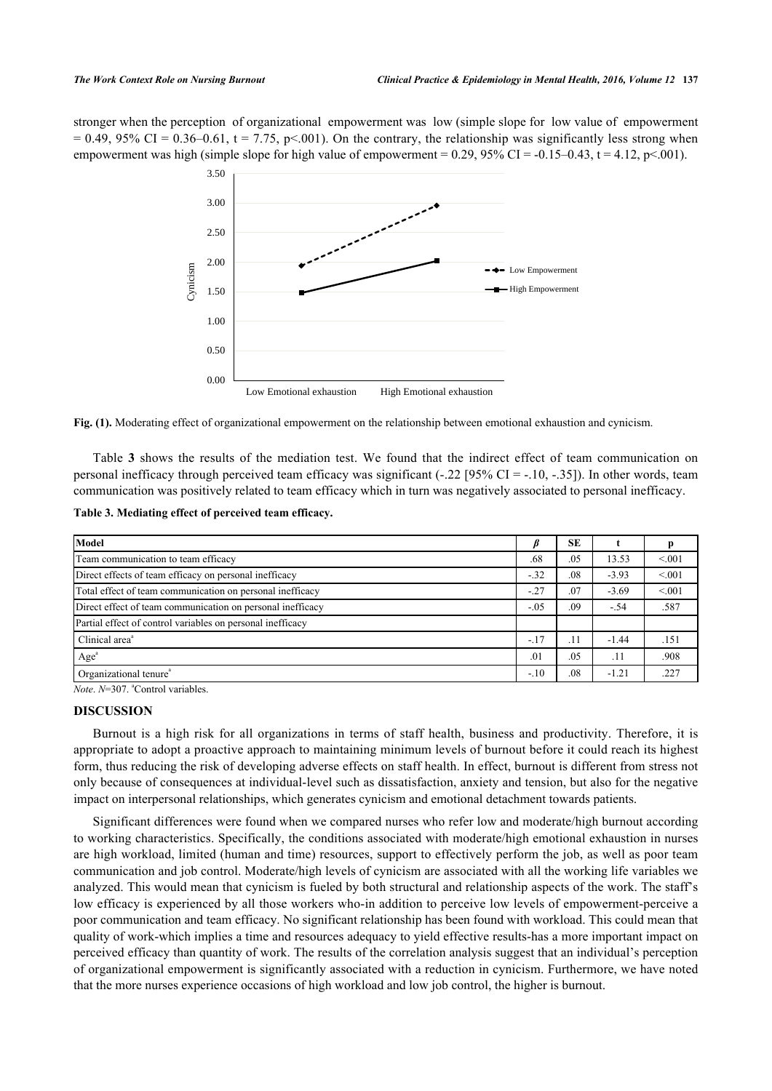<span id="page-5-0"></span>stronger when the perception of organizational empowerment was low (simple slope for low value of empowerment  $= 0.49, 95\% \text{ CI} = 0.36 - 0.61$ , t = 7.75, p<.001). On the contrary, the relationship was significantly less strong when empowerment was high (simple slope for high value of empowerment =  $0.29$ ,  $95\%$  CI =  $-0.15-0.43$ , t =  $4.12$ , p<.001).



**Fig. (1).** Moderating effect of organizational empowerment on the relationship between emotional exhaustion and cynicism.

Table**3** shows the results of the mediation test. We found that the indirect effect of team communication on personal inefficacy through perceived team efficacy was significant  $(-.22 \, 195\% \, \text{CI} = -.10, -.35]$ ). In other words, team communication was positively related to team efficacy which in turn was negatively associated to personal inefficacy.

<span id="page-5-1"></span>**Table 3. Mediating effect of perceived team efficacy.**

| Model                                                      | ß      | <b>SE</b> |         |        |
|------------------------------------------------------------|--------|-----------|---------|--------|
| Team communication to team efficacy                        | .68    | .05       | 13.53   | < 0.01 |
| Direct effects of team efficacy on personal inefficacy     | $-.32$ | .08       | $-3.93$ | < 0.01 |
| Total effect of team communication on personal inefficacy  | $-.27$ | .07       | $-3.69$ | < 0.01 |
| Direct effect of team communication on personal inefficacy | $-.05$ | .09       | $-.54$  | .587   |
| Partial effect of control variables on personal inefficacy |        |           |         |        |
| Clinical area <sup>ª</sup>                                 | $-.17$ | .11       | $-1.44$ | .151   |
| Age <sup>a</sup>                                           | .01    | .05       | .11     | .908   |
| Organizational tenure <sup>a</sup>                         | $-.10$ | .08       | $-1.21$ | .227   |

*Note*. *N*=307. <sup>a</sup>Control variables.

#### **DISCUSSION**

Burnout is a high risk for all organizations in terms of staff health, business and productivity. Therefore, it is appropriate to adopt a proactive approach to maintaining minimum levels of burnout before it could reach its highest form, thus reducing the risk of developing adverse effects on staff health. In effect, burnout is different from stress not only because of consequences at individual-level such as dissatisfaction, anxiety and tension, but also for the negative impact on interpersonal relationships, which generates cynicism and emotional detachment towards patients.

Significant differences were found when we compared nurses who refer low and moderate/high burnout according to working characteristics. Specifically, the conditions associated with moderate/high emotional exhaustion in nurses are high workload, limited (human and time) resources, support to effectively perform the job, as well as poor team communication and job control. Moderate/high levels of cynicism are associated with all the working life variables we analyzed. This would mean that cynicism is fueled by both structural and relationship aspects of the work. The staff's low efficacy is experienced by all those workers who-in addition to perceive low levels of empowerment-perceive a poor communication and team efficacy. No significant relationship has been found with workload. This could mean that quality of work-which implies a time and resources adequacy to yield effective results-has a more important impact on perceived efficacy than quantity of work. The results of the correlation analysis suggest that an individual's perception of organizational empowerment is significantly associated with a reduction in cynicism. Furthermore, we have noted that the more nurses experience occasions of high workload and low job control, the higher is burnout.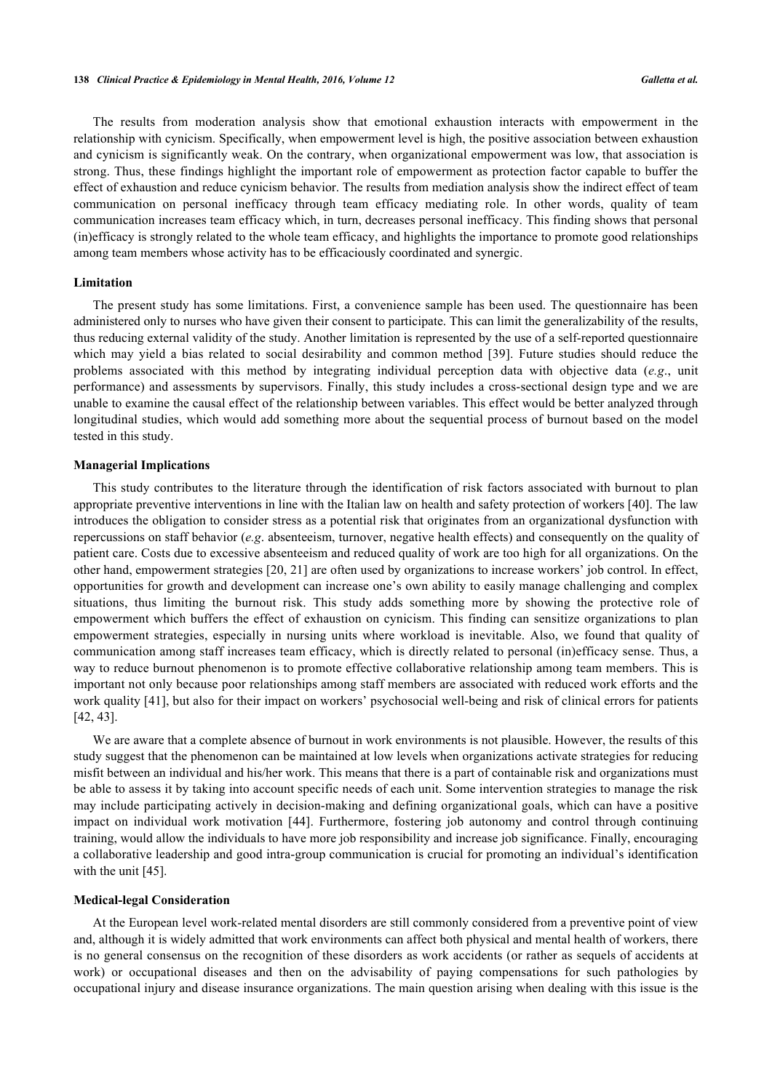The results from moderation analysis show that emotional exhaustion interacts with empowerment in the relationship with cynicism. Specifically, when empowerment level is high, the positive association between exhaustion and cynicism is significantly weak. On the contrary, when organizational empowerment was low, that association is strong. Thus, these findings highlight the important role of empowerment as protection factor capable to buffer the effect of exhaustion and reduce cynicism behavior. The results from mediation analysis show the indirect effect of team communication on personal inefficacy through team efficacy mediating role. In other words, quality of team communication increases team efficacy which, in turn, decreases personal inefficacy. This finding shows that personal (in)efficacy is strongly related to the whole team efficacy, and highlights the importance to promote good relationships among team members whose activity has to be efficaciously coordinated and synergic.

#### **Limitation**

The present study has some limitations. First, a convenience sample has been used. The questionnaire has been administered only to nurses who have given their consent to participate. This can limit the generalizability of the results, thus reducing external validity of the study. Another limitation is represented by the use of a self-reported questionnaire which may yield a bias related to social desirability and common method[[39](#page-9-10)]. Future studies should reduce the problems associated with this method by integrating individual perception data with objective data (*e.g*., unit performance) and assessments by supervisors. Finally, this study includes a cross-sectional design type and we are unable to examine the causal effect of the relationship between variables. This effect would be better analyzed through longitudinal studies, which would add something more about the sequential process of burnout based on the model tested in this study.

#### **Managerial Implications**

This study contributes to the literature through the identification of risk factors associated with burnout to plan appropriate preventive interventions in line with the Italian law on health and safety protection of workers [[40\]](#page-9-11). The law introduces the obligation to consider stress as a potential risk that originates from an organizational dysfunction with repercussions on staff behavior (*e.g*. absenteeism, turnover, negative health effects) and consequently on the quality of patient care. Costs due to excessive absenteeism and reduced quality of work are too high for all organizations. On the other hand, empowerment strategies [[20,](#page-8-16) [21](#page-8-17)] are often used by organizations to increase workers' job control. In effect, opportunities for growth and development can increase one's own ability to easily manage challenging and complex situations, thus limiting the burnout risk. This study adds something more by showing the protective role of empowerment which buffers the effect of exhaustion on cynicism. This finding can sensitize organizations to plan empowerment strategies, especially in nursing units where workload is inevitable. Also, we found that quality of communication among staff increases team efficacy, which is directly related to personal (in)efficacy sense. Thus, a way to reduce burnout phenomenon is to promote effective collaborative relationship among team members. This is important not only because poor relationships among staff members are associated with reduced work efforts and the work quality [[41\]](#page-9-12), but also for their impact on workers' psychosocial well-being and risk of clinical errors for patients [\[42](#page-9-13), [43](#page-9-14)].

We are aware that a complete absence of burnout in work environments is not plausible. However, the results of this study suggest that the phenomenon can be maintained at low levels when organizations activate strategies for reducing misfit between an individual and his/her work. This means that there is a part of containable risk and organizations must be able to assess it by taking into account specific needs of each unit. Some intervention strategies to manage the risk may include participating actively in decision-making and defining organizational goals, which can have a positive impact on individual work motivation[[44\]](#page-9-15). Furthermore, fostering job autonomy and control through continuing training, would allow the individuals to have more job responsibility and increase job significance. Finally, encouraging a collaborative leadership and good intra-group communication is crucial for promoting an individual's identification with the unit [\[45](#page-9-16)].

#### **Medical-legal Consideration**

At the European level work-related mental disorders are still commonly considered from a preventive point of view and, although it is widely admitted that work environments can affect both physical and mental health of workers, there is no general consensus on the recognition of these disorders as work accidents (or rather as sequels of accidents at work) or occupational diseases and then on the advisability of paying compensations for such pathologies by occupational injury and disease insurance organizations. The main question arising when dealing with this issue is the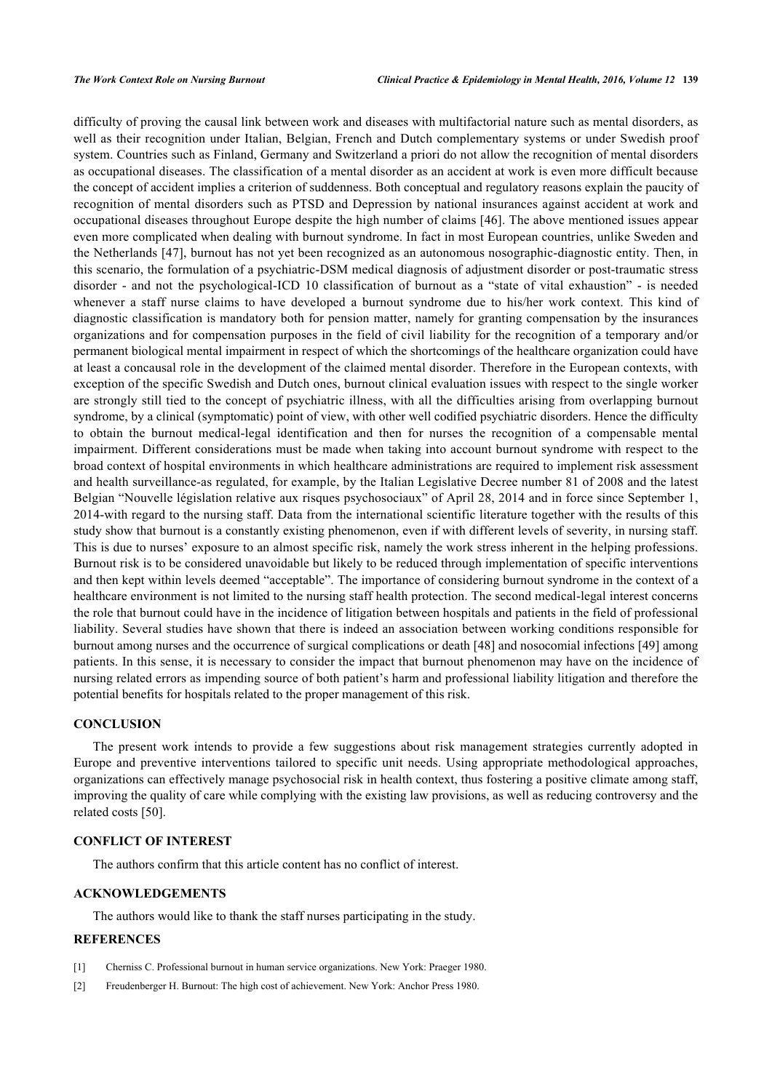difficulty of proving the causal link between work and diseases with multifactorial nature such as mental disorders, as well as their recognition under Italian, Belgian, French and Dutch complementary systems or under Swedish proof system. Countries such as Finland, Germany and Switzerland a priori do not allow the recognition of mental disorders as occupational diseases. The classification of a mental disorder as an accident at work is even more difficult because the concept of accident implies a criterion of suddenness. Both conceptual and regulatory reasons explain the paucity of recognition of mental disorders such as PTSD and Depression by national insurances against accident at work and occupational diseases throughout Europe despite the high number of claims [[46\]](#page-9-17). The above mentioned issues appear even more complicated when dealing with burnout syndrome. In fact in most European countries, unlike Sweden and the Netherlands [[47](#page-9-18)], burnout has not yet been recognized as an autonomous nosographic-diagnostic entity. Then, in this scenario, the formulation of a psychiatric-DSM medical diagnosis of adjustment disorder or post-traumatic stress disorder - and not the psychological-ICD 10 classification of burnout as a "state of vital exhaustion" - is needed whenever a staff nurse claims to have developed a burnout syndrome due to his/her work context. This kind of diagnostic classification is mandatory both for pension matter, namely for granting compensation by the insurances organizations and for compensation purposes in the field of civil liability for the recognition of a temporary and/or permanent biological mental impairment in respect of which the shortcomings of the healthcare organization could have at least a concausal role in the development of the claimed mental disorder. Therefore in the European contexts, with exception of the specific Swedish and Dutch ones, burnout clinical evaluation issues with respect to the single worker are strongly still tied to the concept of psychiatric illness, with all the difficulties arising from overlapping burnout syndrome, by a clinical (symptomatic) point of view, with other well codified psychiatric disorders. Hence the difficulty to obtain the burnout medical-legal identification and then for nurses the recognition of a compensable mental impairment. Different considerations must be made when taking into account burnout syndrome with respect to the broad context of hospital environments in which healthcare administrations are required to implement risk assessment and health surveillance-as regulated, for example, by the Italian Legislative Decree number 81 of 2008 and the latest Belgian "Nouvelle législation relative aux risques psychosociaux" of April 28, 2014 and in force since September 1, 2014-with regard to the nursing staff. Data from the international scientific literature together with the results of this study show that burnout is a constantly existing phenomenon, even if with different levels of severity, in nursing staff. This is due to nurses' exposure to an almost specific risk, namely the work stress inherent in the helping professions. Burnout risk is to be considered unavoidable but likely to be reduced through implementation of specific interventions and then kept within levels deemed "acceptable". The importance of considering burnout syndrome in the context of a healthcare environment is not limited to the nursing staff health protection. The second medical-legal interest concerns the role that burnout could have in the incidence of litigation between hospitals and patients in the field of professional liability. Several studies have shown that there is indeed an association between working conditions responsible for burnout among nurses and the occurrence of surgical complications or death [[48\]](#page-9-19) and nosocomial infections [\[49](#page-9-20)] among patients. In this sense, it is necessary to consider the impact that burnout phenomenon may have on the incidence of nursing related errors as impending source of both patient's harm and professional liability litigation and therefore the potential benefits for hospitals related to the proper management of this risk.

#### **CONCLUSION**

The present work intends to provide a few suggestions about risk management strategies currently adopted in Europe and preventive interventions tailored to specific unit needs. Using appropriate methodological approaches, organizations can effectively manage psychosocial risk in health context, thus fostering a positive climate among staff, improving the quality of care while complying with the existing law provisions, as well as reducing controversy and the related costs [\[50](#page-9-21)].

#### **CONFLICT OF INTEREST**

The authors confirm that this article content has no conflict of interest.

#### **ACKNOWLEDGEMENTS**

The authors would like to thank the staff nurses participating in the study.

#### **REFERENCES**

- <span id="page-7-0"></span>[1] Cherniss C. Professional burnout in human service organizations. New York: Praeger 1980.
- <span id="page-7-1"></span>[2] Freudenberger H. Burnout: The high cost of achievement. New York: Anchor Press 1980.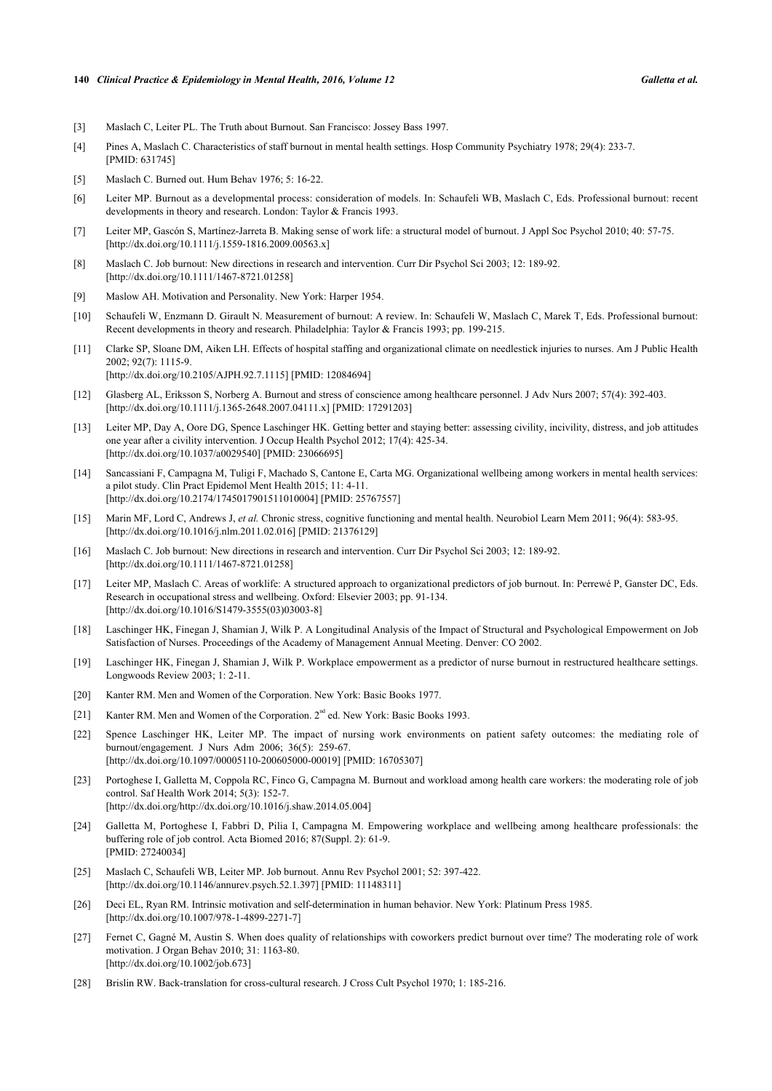- <span id="page-8-0"></span>[3] Maslach C, Leiter PL. The Truth about Burnout. San Francisco: Jossey Bass 1997.
- <span id="page-8-1"></span>[4] Pines A, Maslach C. Characteristics of staff burnout in mental health settings. Hosp Community Psychiatry 1978; 29(4): 233-7. [PMID: [631745\]](http://www.ncbi.nlm.nih.gov/pubmed/631745)
- <span id="page-8-2"></span>[5] Maslach C. Burned out. Hum Behav 1976; 5: 16-22.
- <span id="page-8-3"></span>[6] Leiter MP. Burnout as a developmental process: consideration of models. In: Schaufeli WB, Maslach C, Eds. Professional burnout: recent developments in theory and research. London: Taylor & Francis 1993.
- <span id="page-8-4"></span>[7] Leiter MP, Gascón S, Martínez-Jarreta B. Making sense of work life: a structural model of burnout. J Appl Soc Psychol 2010; 40: 57-75. [\[http://dx.doi.org/10.1111/j.1559-1816.2009.00563.x\]](http://dx.doi.org/10.1111/j.1559-1816.2009.00563.x)
- <span id="page-8-5"></span>[8] Maslach C. Job burnout: New directions in research and intervention. Curr Dir Psychol Sci 2003; 12: 189-92. [\[http://dx.doi.org/10.1111/1467-8721.01258](http://dx.doi.org/10.1111/1467-8721.01258)]
- <span id="page-8-6"></span>[9] Maslow AH. Motivation and Personality. New York: Harper 1954.
- <span id="page-8-7"></span>[10] Schaufeli W, Enzmann D. Girault N. Measurement of burnout: A review. In: Schaufeli W, Maslach C, Marek T, Eds. Professional burnout: Recent developments in theory and research. Philadelphia: Taylor & Francis 1993; pp. 199-215.
- <span id="page-8-8"></span>[11] Clarke SP, Sloane DM, Aiken LH. Effects of hospital staffing and organizational climate on needlestick injuries to nurses. Am J Public Health 2002; 92(7): 1115-9. [\[http://dx.doi.org/10.2105/AJPH.92.7.1115\]](http://dx.doi.org/10.2105/AJPH.92.7.1115) [PMID: [12084694](http://www.ncbi.nlm.nih.gov/pubmed/12084694)]
- 
- <span id="page-8-9"></span>[12] Glasberg AL, Eriksson S, Norberg A. Burnout and stress of conscience among healthcare personnel. J Adv Nurs 2007; 57(4): 392-403. [\[http://dx.doi.org/10.1111/j.1365-2648.2007.04111.x\]](http://dx.doi.org/10.1111/j.1365-2648.2007.04111.x) [PMID: [17291203](http://www.ncbi.nlm.nih.gov/pubmed/17291203)]
- <span id="page-8-10"></span>[13] Leiter MP, Day A, Oore DG, Spence Laschinger HK. Getting better and staying better: assessing civility, incivility, distress, and job attitudes one year after a civility intervention. J Occup Health Psychol 2012; 17(4): 425-34. [\[http://dx.doi.org/10.1037/a0029540](http://dx.doi.org/10.1037/a0029540)] [PMID: [23066695\]](http://www.ncbi.nlm.nih.gov/pubmed/23066695)
- [14] Sancassiani F, Campagna M, Tuligi F, Machado S, Cantone E, Carta MG. Organizational wellbeing among workers in mental health services: a pilot study. Clin Pract Epidemol Ment Health 2015; 11: 4-11. [\[http://dx.doi.org/10.2174/1745017901511010004\]](http://dx.doi.org/10.2174/1745017901511010004) [PMID: [25767557](http://www.ncbi.nlm.nih.gov/pubmed/25767557)]
- <span id="page-8-11"></span>[15] Marin MF, Lord C, Andrews J, *et al.* Chronic stress, cognitive functioning and mental health. Neurobiol Learn Mem 2011; 96(4): 583-95. [\[http://dx.doi.org/10.1016/j.nlm.2011.02.016](http://dx.doi.org/10.1016/j.nlm.2011.02.016)] [PMID: [21376129](http://www.ncbi.nlm.nih.gov/pubmed/21376129)]
- <span id="page-8-12"></span>[16] Maslach C. Job burnout: New directions in research and intervention. Curr Dir Psychol Sci 2003; 12: 189-92. [\[http://dx.doi.org/10.1111/1467-8721.01258](http://dx.doi.org/10.1111/1467-8721.01258)]
- <span id="page-8-13"></span>[17] Leiter MP, Maslach C. Areas of worklife: A structured approach to organizational predictors of job burnout. In: Perrewé P, Ganster DC, Eds. Research in occupational stress and wellbeing. Oxford: Elsevier 2003; pp. 91-134. [\[http://dx.doi.org/10.1016/S1479-3555\(03\)03003-8\]](http://dx.doi.org/10.1016/S1479-3555(03)03003-8)
- <span id="page-8-14"></span>[18] Laschinger HK, Finegan J, Shamian J, Wilk P. A Longitudinal Analysis of the Impact of Structural and Psychological Empowerment on Job Satisfaction of Nurses. Proceedings of the Academy of Management Annual Meeting. Denver: CO 2002.
- <span id="page-8-15"></span>[19] Laschinger HK, Finegan J, Shamian J, Wilk P. Workplace empowerment as a predictor of nurse burnout in restructured healthcare settings. Longwoods Review 2003; 1: 2-11.
- <span id="page-8-16"></span>[20] Kanter RM. Men and Women of the Corporation. New York: Basic Books 1977.
- <span id="page-8-17"></span>[21] Kanter RM. Men and Women of the Corporation. 2<sup>nd</sup> ed. New York: Basic Books 1993.
- <span id="page-8-18"></span>[22] Spence Laschinger HK, Leiter MP. The impact of nursing work environments on patient safety outcomes: the mediating role of burnout/engagement. J Nurs Adm 2006; 36(5): 259-67. [\[http://dx.doi.org/10.1097/00005110-200605000-00019](http://dx.doi.org/10.1097/00005110-200605000-00019)] [PMID: [16705307\]](http://www.ncbi.nlm.nih.gov/pubmed/16705307)
- <span id="page-8-19"></span>[23] Portoghese I, Galletta M, Coppola RC, Finco G, Campagna M. Burnout and workload among health care workers: the moderating role of job control. Saf Health Work 2014; 5(3): 152-7. [\[http://dx.doi.org/http://dx.doi.org/10.1016/j.shaw.2014.05.004\]](http://dx.doi.org/http://dx.doi.org/10.1016/j.shaw.2014.05.004)
- <span id="page-8-20"></span>[24] Galletta M, Portoghese I, Fabbri D, Pilia I, Campagna M. Empowering workplace and wellbeing among healthcare professionals: the buffering role of job control. Acta Biomed 2016; 87(Suppl. 2): 61-9. [PMID: [27240034\]](http://www.ncbi.nlm.nih.gov/pubmed/27240034)
- <span id="page-8-21"></span>[25] Maslach C, Schaufeli WB, Leiter MP. Job burnout. Annu Rev Psychol 2001; 52: 397-422. [\[http://dx.doi.org/10.1146/annurev.psych.52.1.397](http://dx.doi.org/10.1146/annurev.psych.52.1.397)] [PMID: [11148311\]](http://www.ncbi.nlm.nih.gov/pubmed/11148311)
- <span id="page-8-22"></span>[26] Deci EL, Ryan RM. Intrinsic motivation and self-determination in human behavior. New York: Platinum Press 1985. [\[http://dx.doi.org/10.1007/978-1-4899-2271-7](http://dx.doi.org/10.1007/978-1-4899-2271-7)]
- <span id="page-8-23"></span>[27] Fernet C, Gagné M, Austin S. When does quality of relationships with coworkers predict burnout over time? The moderating role of work motivation. J Organ Behav 2010; 31: 1163-80. [\[http://dx.doi.org/10.1002/job.673](http://dx.doi.org/10.1002/job.673)]
- <span id="page-8-24"></span>[28] Brislin RW. Back-translation for cross-cultural research. J Cross Cult Psychol 1970; 1: 185-216.